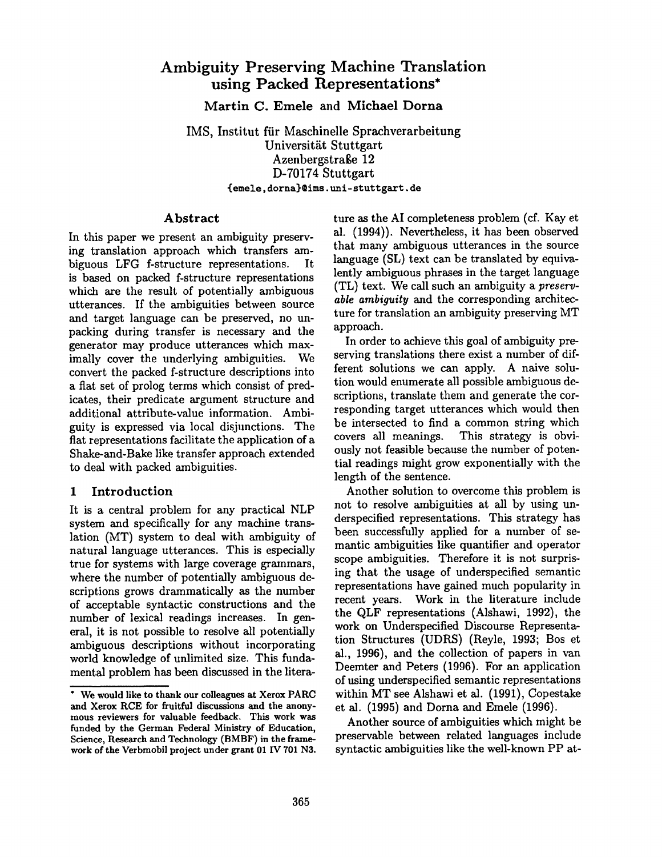# **Ambiguity Preserving Machine Translation using Packed Representations\***

Martin C. Emele and Michael Dorna

IMS, Institut fiir Maschinelle Sprachverarbeitung Universität Stuttgart Azenbergstraße 12 D-70174 Stuttgart **~emele, dorna}@ims, tmi-stuttgart, de** 

#### **Abstract**

In this paper we present an ambiguity preserving translation approach which transfers ambiguous LFG f-structure representations. It is based on packed f-structure representations which are the result of potentially ambiguous utterances. If the ambiguities between source and target language can be preserved, no unpacking during transfer is necessary and the generator may produce utterances which maximally cover the underlying ambiguities. We convert the packed f-structure descriptions into a flat set of prolog terms which consist of predicates, their predicate argument structure and additional attribute-value information. Ambiguity is expressed via local disjunctions. The flat representations facilitate the application of a Shake-and-Bake like transfer approach extended to deal with packed ambiguities.

#### 1 Introduction

It is a central problem for any practical NLP system and specifically for any machine translation (MT) system to deal with ambiguity of natural language utterances. This is especially true for systems with large coverage grammars, where the number of potentially ambiguous descriptions grows drammatically as the number of acceptable syntactic constructions and the number of lexical readings increases. In general, it is not possible to resolve all potentially ambiguous descriptions without incorporating world knowledge of unlimited size. This fundamental problem has been discussed in the litera-

ture as the AI completeness problem (cf. Kay et al. (1994)). Nevertheless, it has been observed that many ambiguous utterances in the source language (SL) text can be translated by equivalently ambiguous phrases in the target language (TL) text. We call such an ambiguity a *preservable ambiguity* and the corresponding architecture for translation an ambiguity preserving MT approach.

In order to achieve this goal of ambiguity preserving translations there exist a number of different solutions we can apply. A naive solution would enumerate all possible ambiguous descriptions, translate them and generate the corresponding target utterances which would then be intersected to find a common string which covers all meanings. This strategy is obviously not feasible because the number of potential readings might grow exponentially with the length of the sentence.

Another solution to overcome this problem is not to resolve ambiguities at all by using underspecified representations. This strategy has been successfully applied for a number of semantic ambiguities like quantifier and operator scope ambiguities. Therefore it is not surprising that the usage of underspecified semantic representations have gained much popularity in recent years. Work in the literature include the QLF representations (Alshawi, 1992), the work on Underspecified Discourse Representation Structures (UDRS) (Reyle, 1993; Bos et al., 1996), and the collection of papers in van Deemter and Peters (1996). For an application of using underspecified semantic representations within MT see Alshawi et al. (1991), Copestake et al. (1995) and Dorna and Emele (1996).

Another source of ambiguities which might be preservable between related languages include syntactic ambiguities like the well-known PP at-

<sup>\*</sup> We would like **to thank our colleagues at Xerox** PARC and Xerox RCE for fruitful discussions and the anonymous reviewers for valuable feedback. This work **was**  funded by the German Federal Ministry of Education, Science, Research and Technology (BMBF) in the framework of the Verbmobil project under grant 01 IV 701 N3.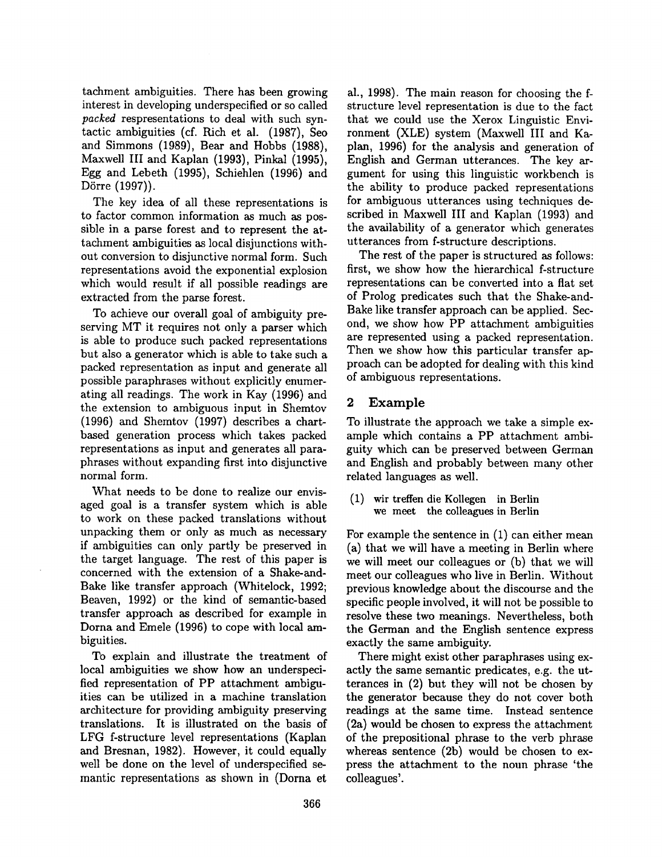tachment ambiguities. There has been growing interest in developing underspecified or so called *packed* respresentations to deal with such syntactic ambiguities (cf. Rich et al. (1987), Seo and Simmons (1989), Bear and Hobbs (1988), Maxwell III and Kaplan (1993), Pinkal (1995), Egg and Lebeth (1995), Schiehlen (1996) and Dörre (1997)).

The key idea of all these representations is to factor common information as much as possible in a parse forest and to represent the attachment ambiguities as local disjunctions without conversion to disjunctive normal form. Such representations avoid the exponential explosion which would result if all possible readings are extracted from the parse forest.

To achieve our overall goal of ambiguity preserving MT it requires not only a parser which is able to produce such packed representations but also a generator which is able to take such a packed representation as input and generate all possible paraphrases without explicitly enumerating all readings. The work in Kay (1996) and the extension to ambiguous input in Shemtov (1996) and Shemtov (1997) describes a chartbased generation process which takes packed representations as input and generates all paraphrases without expanding first into disjunctive normal form.

What needs to be done to realize our envisaged goal is a transfer system which is able to work on these packed translations without unpacking them or only as much as necessary if ambiguities can only partly be preserved in the target language. The rest of this paper is concerned with the extension of a Shake-and-Bake like transfer approach (Whitelock, 1992; Beaven, 1992) or the kind of semantic-based transfer approach as described for example in Dorna and Emele (1996) to cope with local ambiguities.

To explain and illustrate the treatment of local ambiguities we show how an underspecified representation of PP attachment ambiguities can be utilized in a machine translation architecture for providing ambiguity preserving translations. It is illustrated on the basis of LFG f-structure level representations (Kaplan and Bresnan, 1982). However, it could equally well be done on the level of underspecified semantic representations as shown in (Dorna et

al., 1998). The main reason for choosing the fstructure level representation is due to the fact that we could use the Xerox Linguistic Environment (XLE) system (Maxwell III and Kaplan, 1996) for the analysis and generation of English and German utterances. The key argument for using this linguistic workbench is the ability to produce packed representations for ambiguous utterances using techniques described in Maxwell III and Kaplan (1993) and the availability of a generator which generates utterances from f-structure descriptions.

The rest of the paper is structured as follows: first, we show how the hierarchical f-structure representations can be converted into a flat set of Prolog predicates such that the Shake-and-Bake like transfer approach can be applied. Second, we show how PP attachment ambiguities are represented using a packed representation. Then we show how this particular transfer approach can be adopted for dealing with this kind of ambiguous representations.

### **2 Example**

To illustrate the approach we take a simple example which contains a PP attachment ambiguity which can be preserved between German and English and probably between many other related languages as well.

(1) wir treffen die KoUegen in Berlin we meet the colleagues in Berlin

For example the sentence in (1) can either mean (a) that we will have a meeting in Berlin where we will meet our colleagues or (b) that we will meet our colleagues who live in Berlin. Without previous knowledge about the discourse and the specific people involved, it will not be possible to resolve these two meanings. Nevertheless, both the German and the English sentence express exactly the same ambiguity.

There might exist other paraphrases using exactly the same semantic predicates, e.g. the utterances in (2) but they will not be chosen by the generator because they do not cover both readings at the same time. Instead sentence (2a) would be chosen to express the attachment of the prepositional phrase to the verb phrase whereas sentence (2b) would be chosen to express the attachment to the noun phrase 'the colleagues'.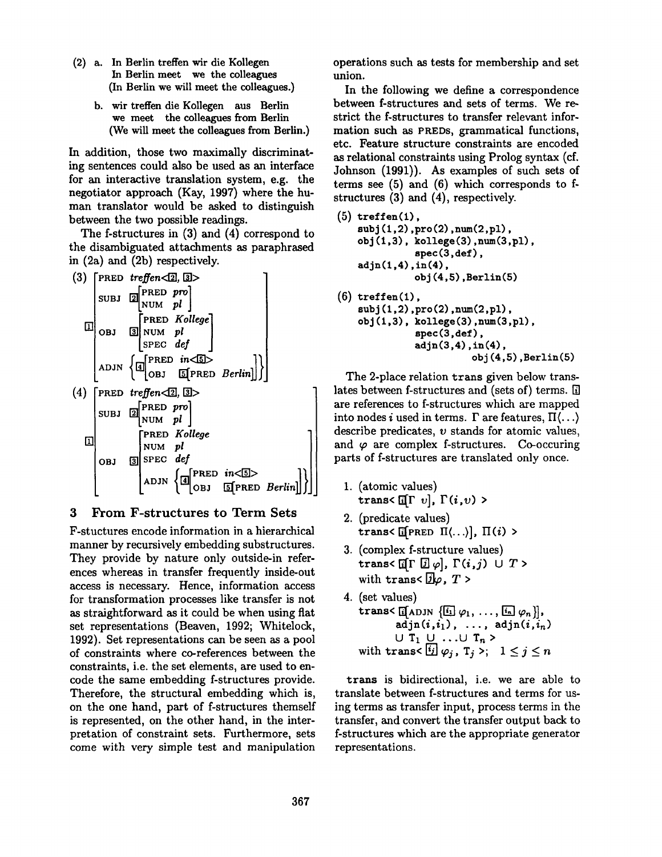- (2) a. In Berlin treffen wir die Kollegen In Berlin meet we the colleagues (In Berlin we will meet the colleagues.)
	- b. wir treffen die Kollegen aus Berlin we meet the colleagues from Berlin (We will meet the colleagues from Berlin.)

In addition, those two maximally discriminating sentences could also be used as an interface for an interactive translation system, e.g. the negotiator approach (Kay, 1997) where the human translator would be asked to distinguish between the two possible readings.

The f-structures in (3) and (4) correspond to the disambiguated attachments as paraphrased in (2a) and (2b) respectively.



#### **3 From F-structures to Term Sets**

F-stuctures encode information in a hierarchical manner by recursively embedding substructures. They provide by nature only outside-in references whereas in transfer frequently inside-out access is necessary. Hence, information access for transformation processes like transfer is not as straightforward as it could be when using flat set representations (Beaven, 1992; Whitelock, 1992). Set representations can be seen as a pool of constraints where co-references between the constraints, i.e. the set elements, are used to encode the same embedding f-structures provide. Therefore, the structural embedding which is, on the one hand, part of f-structures themself is represented, on the other hand, in the interpretation of constraint sets. Furthermore, sets come with very simple test and manipulation

operations such as tests for membership and set union.

In the following we define a correspondence between f-structures and sets of terms. We restrict the f-structures to transfer relevant information such as PREDS, grammatical functions, etc. Feature structure constraints are encoded as relational constraints using Prolog syntax (cf. Johnson (1991)). As examples of such sets of terms see (5) and (6) which corresponds to fstructures (3) and (4), respectively.

```
(5) treffen(1),
    subj (1,2), pro(2), num(2,pl),
    obj(1,3), kollege(3), num(3,pl),
               spec (3, def), 
    adj n (1,4), in (4), 
               obj (4,5) ,Berlin(5) 
(6) treffen(1),
```

$$
subj(1,2), pro(2), num(2,pl),obj(1,3), kollege(3), num(3,pl),spec(3,def),adjn(3,4),in(4),obj(4,5), Berlin(5)
$$

The 2-place relation trans given below translates between f-structures and (sets of) terms. [i] are references to f-structures which are mapped into nodes *i* used in terms.  $\Gamma$  are features,  $\Pi(\ldots)$ describe predicates,  $v$  stands for atomic values, and  $\varphi$  are complex f-structures. Co-occuring parts of f-structures are translated only once.

- 1. (atomic values)  $trans\{\text{if} \Gamma \ v\}, \Gamma(i, v)$
- 2. (predicate values) trans<  $\left[\text{[PRED II]}...\right], \Pi(i)$
- 3. (complex f-structure values)  $trans\{\text{if}\Gamma\text{ }[\overline{q}] \varphi\}$ ,  $\Gamma(i,j) \cup T$ with trans<  $\overline{g}$ l $\varphi$ , T >
- 4. (set values) trans<  $\left[\left[\text{ADJN} \left\{ \frac{[i]}{\varphi_1}, \ldots, \frac{[i]}{\varphi_n} \right\} \right],\right]$  $\texttt{adjn}(i,i_1), \ldots, \texttt{adjn}(i,i_n)$  $\cup$  T<sub>1</sub>  $\cup$  ... $\cup$  T<sub>n</sub> > with trans<  $[i]$   $\varphi_j$ ,  $T_j$  >;  $1 \leq j \leq n$

trans is bidirectional, i.e. we are able to translate between f-structures and terms for using terms as transfer input, process terms in the transfer, and convert the transfer output back to f-structures which are the appropriate generator representations.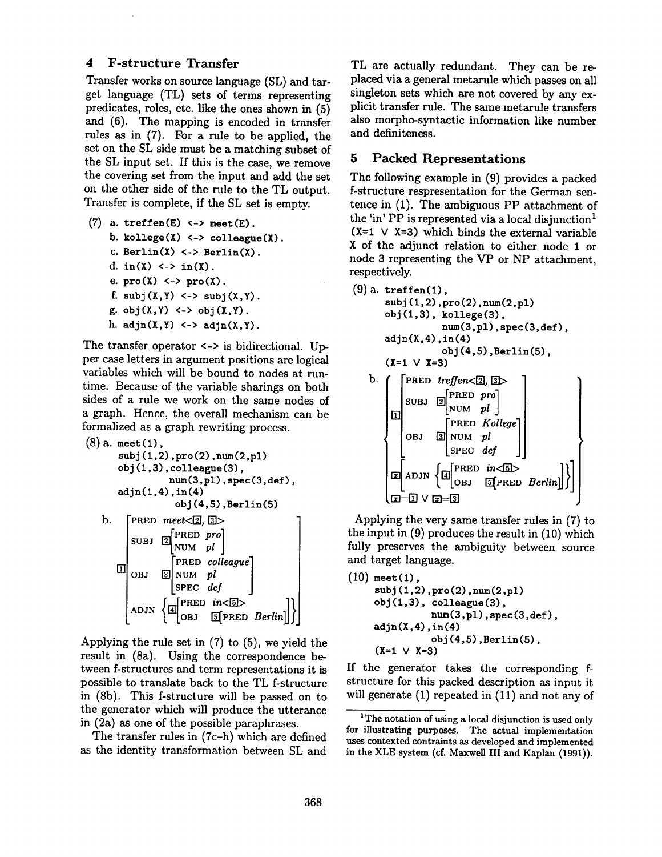#### 4 F-structure Transfer

Transfer works on source language (SL) and target language (TL) sets of terms representing predicates, roles, etc. like the ones shown in (5) and (6). The mapping is encoded in transfer rules as in (7). For a rule to be applied, the set on the SL side must be a matching subset of the SL input set. If this is the case, we remove the covering set from the input and add the set on the other side of the rule to the TL output. Transfer is complete, if the SL set is empty.

\n- (7) a. treffen(E) 
$$
\leftarrow
$$
 > meet(E). b. kollege(X)  $\leftarrow$  > colleague(X). c. Berlin(X)  $\leftarrow$  Berlin(X). d. in(X)  $\leftarrow$  in(X). e. pro(X)  $\leftarrow$  pro(X). f. subj(X,Y)  $\leftarrow$  subj(X,Y). g. obj(X,Y)  $\leftarrow$  obj(X,Y). h. adjn(X,Y)  $\leftarrow$  adjn(X,Y).
\n

The transfer operator  $\langle - \rangle$  is bidirectional. Upper case letters in argument positions are logical variables which will be bound to nodes at runtime. Because of the variable sharings on both sides of a rule we work on the same nodes of a graph. Hence, the overall mechanism can be formalized as a graph rewriting process.

```
(8) a. meet(1).
           subj(1,2), pro(2), num(2,p1)obj(1,3), colleague(3),
                              num (3, pl), spec (3, def), 
           adjn(1,4), in(4)obj (4,5),Berlin (5) 
     b. [PRED \text{ meet} < 2, 3]\begin{bmatrix} \text{SUBJ} & \begin{bmatrix} 2 \end{bmatrix} & \text{PRED} & \text{pro} \end{bmatrix}\begin{array}{cc} \text{NUM} & pl \end{array}[FRED colleague] 
                \begin{bmatrix} \text{ADJN} & \left\{ \boxed{4} \ \text{OBJ} & \boxed{5} \ \text{PRED} & \text{Berkin} \end{bmatrix} \right\},
```
Applying the rule set in (7) to (5), we yield the result in (8a). Using the correspondence between f-structures and term representations it is possible to translate back to the TL f-structure in (8b). This f-structure will be passed on to the generator which will produce the utterance in (2a) as one of the possible paraphrases.

The transfer rules in (7c-h) which are defined as the identity transformation between SL and

TL are actually redundant. They can be replaced via a general metarule which passes on all singleton sets which are not covered by any explicit transfer rule. The same metarule transfers also morpho-syntactic information like number and definiteness.

### **5 Packed Representations**

The following example in (9) provides a packed f-structure respresentation for the German sentence in (1). The ambiguous PP attachment of the 'in' PP is represented via a local disjunction<sup>1</sup>  $(X=1 \vee X=3)$  which binds the external variable X of the adjunct relation to either node I or node 3 representing the VP or NP attachment, respectively.

(9) a. treffen(1), subj (1,2) ,pro (2) ,num(2 ,pl) obj (1,3), kollege(3), num(3,pl), spec (3, def), adjn(X,4) ,in(4) **obj (4,5)** ,Berlin(5), (xffit v xffi3) b. "PRED *treffen<I~l, l~>*  \_\_[PRED pr~] SUBJ IN[NUM *pl*  **[]**  [PRED *gonege]*  I.SFEC [] ADJN [ [OBJ [~][PRED *Berlin*  **m\_-~ v** []=ill

Applying the very same transfer rules in (7) to the input in (9) produces the result in (10) which fully preserves the ambiguity between source and target language.

 $(10)$  meet $(1)$ ,  $subj(1, 2), pro(2), num(2, pl)$ **obj** (1,3), colleague(3),  $num(3, p1)$ ,  $spec(3, def)$ ,  $adjn(X,4), in(4)$ **obj** (4,5) ,Berlin(5),  $(X=1 \vee X=3)$ 

If the generator takes the corresponding fstructure for this packed description as input it will generate (1) repeated in (11) and not any of

<sup>&</sup>lt;sup>1</sup>The notation of using a local disjunction is used only for illustrating purposes. The actual implementation uses contexted contraints as developed and implemented in the XLE system (cf. Maxwell III and Kaplan (1991)).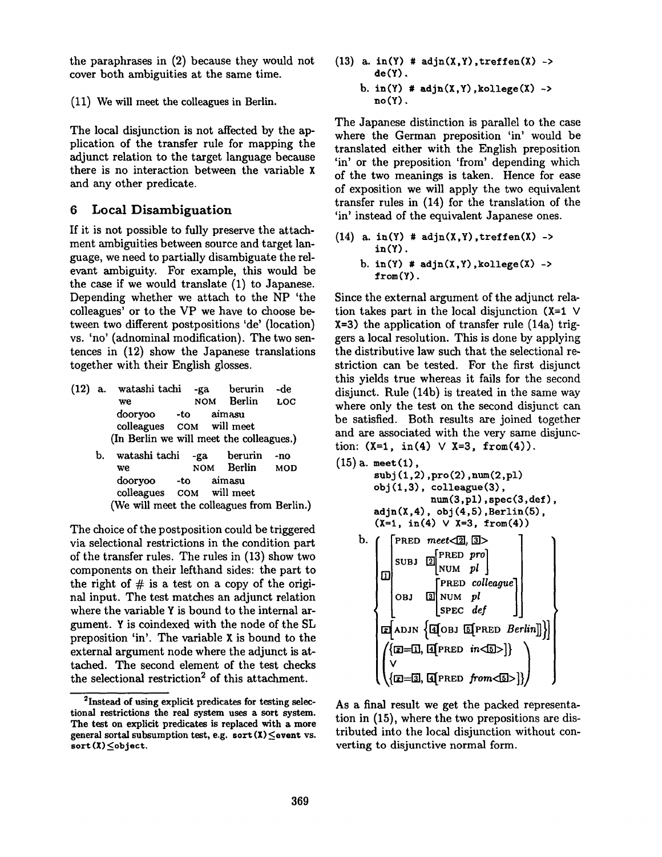the paraphrases in (2) because they would not cover both ambiguities at the same time.

(11) We will meet the colleagues in Berlin.

The local disjunction is not affected by the application of the transfer rule for mapping the adjunct relation to the target language because there is no interaction between the variable x and any other predicate.

# 6 Local Disambiguation

If it is not possible to fully preserve the attachment ambiguities between source and target language, we need to partially disambiguate the relevant ambiguity. For example, this would be the case if we would translate (1) to Japanese. Depending whether we attach to the NP 'the colleagues' or to the VP we have to choose between two different postpositions 'de' (location) vs. 'no' (adnominal modification). The two sentences in (12) show the Japanese translations together with their English glosses.

- (12) a. watashi tachi -ga berurin -de we NOM Berlin LOC dooryoo -to aimasu colleagues COM will meet (In Berlin we will meet the colleagues.)
	- b. watashi tachi -ga berurin -no we NOM Berlin MOD dooryoo -to aimasu colleagues COM will meet (We will meet the colleagues from Berlin.)

The choice of the postposition could be triggered via selectional restrictions in the condition part of the transfer rules. The rules in (13) show two components on their lefthand sides: the part to the right of  $#$  is a test on a copy of the original input. The test matches an adjunct relation where the variable Y is bound to the internal argument. Y is coindexed with the node of the SL preposition 'in'. The variable X is bound to the external argument node where the adjunct is attached. The second element of the test checks the selectional restriction<sup>2</sup> of this attachment.

- (13) a. in(Y)  $\#$  adjn(X,Y), treffen(X) -> de(Y).
	- b.  $in(Y)$  #  $adjn(X,Y)$ , kollege $(X)$  -> no(Y).

The Japanese distinction is parallel to the case where the German preposition 'in' would be translated either with the English preposition 'in' or the preposition 'from' depending which of the two meanings is taken. Hence for ease of exposition we will apply the two equivalent transfer rules in (14) for the translation of the 'in' instead of the equivalent Japanese ones.

 $(14)$  a. in(Y) # adjn(X,Y), treffen(X) -> in(Y). b.  $in(Y)$  #  $adjn(X, Y)$ , kollege $(X)$  -> from (Y).

Since the external argument of the adjunct relation takes part in the local disjunction  $(X=1$  V X=3) the application of transfer rule (14a) triggers a local resolution. This is done by applying the distributive law such that the selectional restriction can be tested. For the first disjunct this yields true whereas it fails for the second disjunct. Rule (14b) is treated in the same way where only the test on the second disjunct can be satisfied. Both results are joined together and are associated with the very same disjunction:  $(X=1, \text{ in (4)} \vee X=3, \text{ from (4)}).$ 

```
(15) a. meet(l), 
        subj(1,2), pro(2), num(2, pl)
        obj (1,3), colleague(3), 
                     hum(3, pl), spec (3, def), 
        adjn(X,4), obj(4,5), Berlin(5),(X=1, in(4) \vee X=3, from(4))b. \int [PRED meet \langle 2, 3 \rangle_{\text{SUBJ}} \boxed{2} PRED pro
                       NUM pl \vert\Box\mathsf{PRED}\;colleague
             OBJ
                    3 NUM plSPEC def
          \pi ADJN \{ 4[OBJ 5[PRED Berlin]] \}\{ \text{I} = 0, \text{I} \text{ (PRED } in < 5) \}(Q=31, Apred from<5)>
```
As a final result we get the packed representation in (15), where the two prepositions are distributed into the local disjunction without converting to disjunctive normal form.

<sup>2</sup>Instead of using explicit predicates **for testing** seleetional **restrictions the** real system uses a sort system. **The test on** explicit predicates is replaced with a **more**  general sortal subsumption test, e.g. sort  $(X) \le$ event vs. sort(X) Sobject.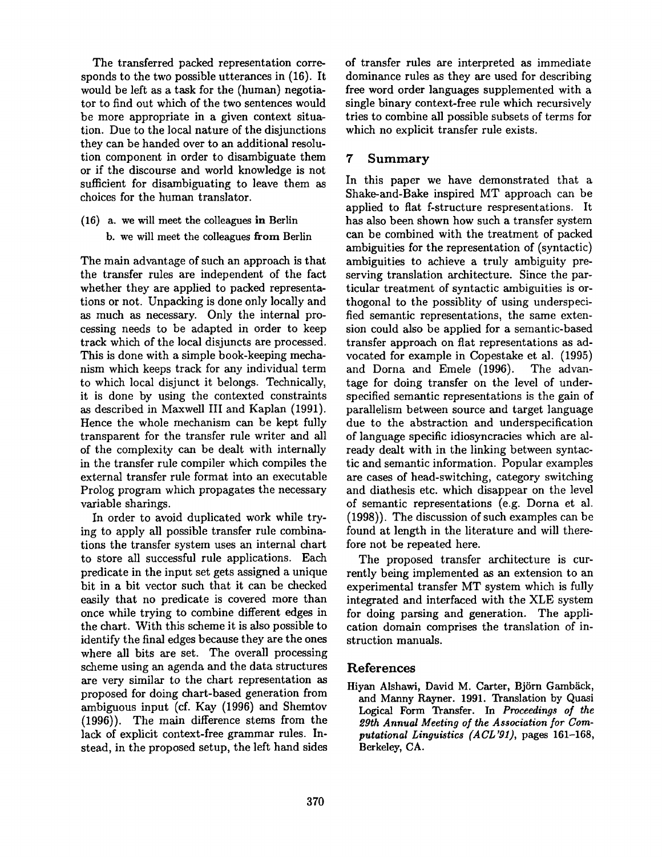The transferred packed representation corresponds to the two possible utterances in (16). It would be left as a task for the (human) negotiator to find out which of the two sentences would be more appropriate in a given context situation. Due to the local nature of the disjunctions they can be handed over to an additional resolution component in order to disambiguate them or if the discourse and world knowledge is not sufficient for disambiguating to leave them as choices for the human translator.

(16) a. we will meet the colleagues in Berlin b. we will meet the colleagues from Berlin

The main advantage of such an approach is that the transfer rules are independent of the fact whether they are applied to packed representations or not. Unpacking is done only locally and as much as necessary. Only the internal processing needs to be adapted in order to keep track which of the local disjuncts are processed. This is done with a simple book-keeping mechanism which keeps track for any individual term to which local disjunct it belongs. Technically, it is done by using the contexted constraints as described in Maxwell III and Kaplan (1991). Hence the whole mechanism can be kept fully transparent for the transfer rule writer and all of the complexity can be dealt with internally in the transfer rule compiler which compiles the external transfer rule format into an executable Prolog program which propagates the necessary variable sharings.

In order to avoid duplicated work while trying to apply all possible transfer rule combinations the transfer system uses an internal chart to store all successful rule applications. Each predicate in the input set gets assigned a unique bit in a bit vector such that it can be checked easily that no predicate is covered more than once while trying to combine different edges in the chart. With this scheme it is also possible to identify the final edges because they are the ones where all bits are set. The overall processing scheme using an agenda and the data structures are very similar to the chart representation as proposed for doing chart-based generation from ambiguous input (cf. Kay (1996) and Shemtov (1996)). The main difference stems from the lack of explicit context-free grammar rules. Instead, in the proposed setup, the left hand sides of transfer rules are interpreted as immediate dominance rules as they are used for describing free word order languages supplemented with a single binary context-free rule which recursively tries to combine all possible subsets of terms for which no explicit transfer rule exists.

# 7 Summary

In this paper we have demonstrated that a Shake-and-Bake inspired MT approach can be applied to flat f-structure respresentations. It has also been shown how such a transfer system can be combined with the treatment of packed ambiguities for the representation of (syntactic) ambiguities to achieve a truly ambiguity preserving translation architecture. Since the particular treatment of syntactic ambiguities is orthogonal to the possiblity of using underspecified semantic representations, the same extension could also be applied for a semantic-based transfer approach on flat representations as advocated for example in Copestake et al. (1995) and Dorna and Emele (1996). The advantage for doing transfer on the level of underspecified semantic representations is the gain of parallelism between source and target language due to the abstraction and underspecification of language specific idiosyncracies which are already dealt with in the linking between syntactic and semantic information. Popular examples are cases of head-switching, category switching and diathesis etc. which disappear on the level of semantic representations (e.g. Dorna et al. (1998)). The discussion of such examples can be found at length in the literature and will therefore not be repeated here.

The proposed transfer architecture is currently being implemented as an extension to an experimental transfer MT system which is fully integrated and interfaced with the XLE system for doing parsing and generation. The application domain comprises the translation of instruction manuals.

### References

Hiyan Alshawi, David M. Carter, Björn Gambäck, and Manny Rayner. 1991. Translation by Quasi Logical Form Transfer. In *Proceedings of the 29th Annual Meeting of the Association for Computational Linguistics (ACL'91),* pages 161-168, Berkeley, CA.